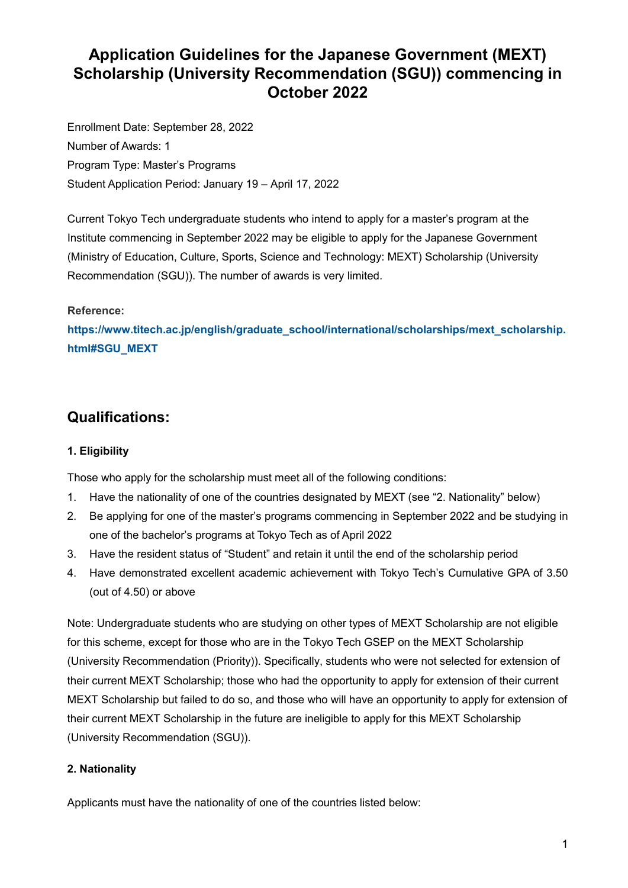# **Application Guidelines for the Japanese Government (MEXT) Scholarship (University Recommendation (SGU)) commencing in October 2022**

Enrollment Date: September 28, 2022 Number of Awards: 1 Program Type: Master's Programs Student Application Period: January 19 – April 17, 2022

Current Tokyo Tech undergraduate students who intend to apply for a master's program at the Institute commencing in September 2022 may be eligible to apply for the Japanese Government (Ministry of Education, Culture, Sports, Science and Technology: MEXT) Scholarship (University Recommendation (SGU)). The number of awards is very limited.

#### **Reference:**

**[https://www.titech.ac.jp/english/graduate\\_school/international/scholarships/mext\\_scholarship.](https://www.titech.ac.jp/english/graduate_school/international/scholarships/mext_scholarship.html#SGU_MEXT) [html#SGU\\_MEXT](https://www.titech.ac.jp/english/graduate_school/international/scholarships/mext_scholarship.html#SGU_MEXT)**

## **Qualifications:**

### **1. Eligibility**

Those who apply for the scholarship must meet all of the following conditions:

- 1. Have the nationality of one of the countries designated by MEXT (see "2. Nationality" below)
- 2. Be applying for one of the master's programs commencing in September 2022 and be studying in one of the bachelor's programs at Tokyo Tech as of April 2022
- 3. Have the resident status of "Student" and retain it until the end of the scholarship period
- 4. Have demonstrated excellent academic achievement with Tokyo Tech's Cumulative GPA of 3.50 (out of 4.50) or above

Note: Undergraduate students who are studying on other types of MEXT Scholarship are not eligible for this scheme, except for those who are in the Tokyo Tech GSEP on the MEXT Scholarship (University Recommendation (Priority)). Specifically, students who were not selected for extension of their current MEXT Scholarship; those who had the opportunity to apply for extension of their current MEXT Scholarship but failed to do so, and those who will have an opportunity to apply for extension of their current MEXT Scholarship in the future are ineligible to apply for this MEXT Scholarship (University Recommendation (SGU)).

### **2. Nationality**

Applicants must have the nationality of one of the countries listed below: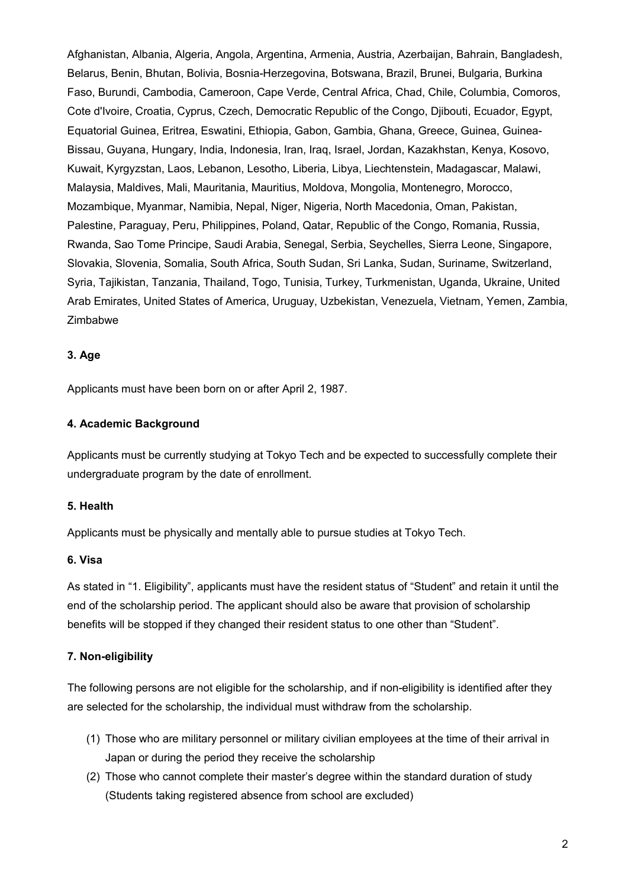Afghanistan, Albania, Algeria, Angola, Argentina, Armenia, Austria, Azerbaijan, Bahrain, Bangladesh, Belarus, Benin, Bhutan, Bolivia, Bosnia-Herzegovina, Botswana, Brazil, Brunei, Bulgaria, Burkina Faso, Burundi, Cambodia, Cameroon, Cape Verde, Central Africa, Chad, Chile, Columbia, Comoros, Cote d'Ivoire, Croatia, Cyprus, Czech, Democratic Republic of the Congo, Djibouti, Ecuador, Egypt, Equatorial Guinea, Eritrea, Eswatini, Ethiopia, Gabon, Gambia, Ghana, Greece, Guinea, Guinea-Bissau, Guyana, Hungary, India, Indonesia, Iran, Iraq, Israel, Jordan, Kazakhstan, Kenya, Kosovo, Kuwait, Kyrgyzstan, Laos, Lebanon, Lesotho, Liberia, Libya, Liechtenstein, Madagascar, Malawi, Malaysia, Maldives, Mali, Mauritania, Mauritius, Moldova, Mongolia, Montenegro, Morocco, Mozambique, Myanmar, Namibia, Nepal, Niger, Nigeria, North Macedonia, Oman, Pakistan, Palestine, Paraguay, Peru, Philippines, Poland, Qatar, Republic of the Congo, Romania, Russia, Rwanda, Sao Tome Principe, Saudi Arabia, Senegal, Serbia, Seychelles, Sierra Leone, Singapore, Slovakia, Slovenia, Somalia, South Africa, South Sudan, Sri Lanka, Sudan, Suriname, Switzerland, Syria, Tajikistan, Tanzania, Thailand, Togo, Tunisia, Turkey, Turkmenistan, Uganda, Ukraine, United Arab Emirates, United States of America, Uruguay, Uzbekistan, Venezuela, Vietnam, Yemen, Zambia, Zimbabwe

#### **3. Age**

Applicants must have been born on or after April 2, 1987.

#### **4. Academic Background**

Applicants must be currently studying at Tokyo Tech and be expected to successfully complete their undergraduate program by the date of enrollment.

#### **5. Health**

Applicants must be physically and mentally able to pursue studies at Tokyo Tech.

#### **6. Visa**

As stated in "1. Eligibility", applicants must have the resident status of "Student" and retain it until the end of the scholarship period. The applicant should also be aware that provision of scholarship benefits will be stopped if they changed their resident status to one other than "Student".

#### **7. Non-eligibility**

The following persons are not eligible for the scholarship, and if non-eligibility is identified after they are selected for the scholarship, the individual must withdraw from the scholarship.

- (1) Those who are military personnel or military civilian employees at the time of their arrival in Japan or during the period they receive the scholarship
- (2) Those who cannot complete their master's degree within the standard duration of study (Students taking registered absence from school are excluded)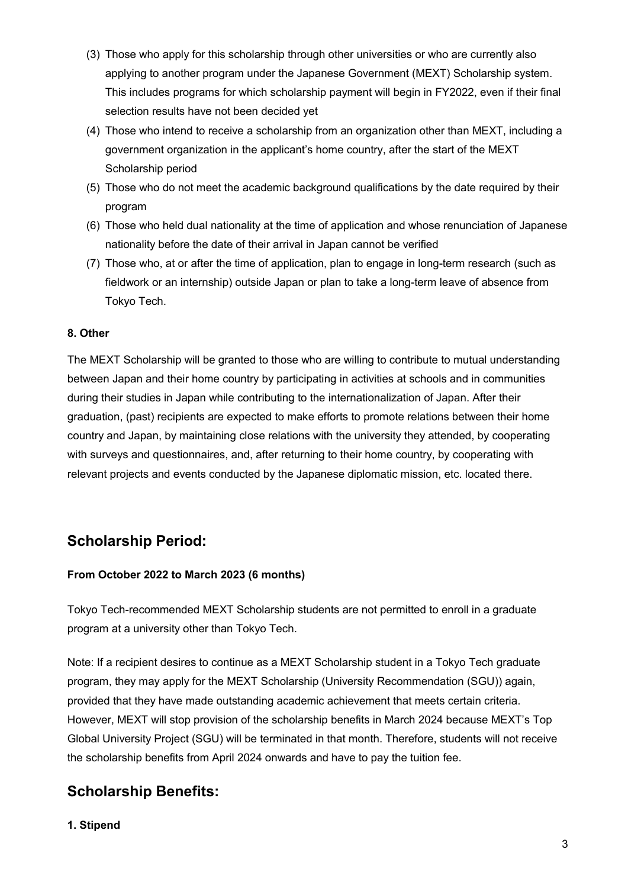- (3) Those who apply for this scholarship through other universities or who are currently also applying to another program under the Japanese Government (MEXT) Scholarship system. This includes programs for which scholarship payment will begin in FY2022, even if their final selection results have not been decided yet
- (4) Those who intend to receive a scholarship from an organization other than MEXT, including a government organization in the applicant's home country, after the start of the MEXT Scholarship period
- (5) Those who do not meet the academic background qualifications by the date required by their program
- (6) Those who held dual nationality at the time of application and whose renunciation of Japanese nationality before the date of their arrival in Japan cannot be verified
- (7) Those who, at or after the time of application, plan to engage in long-term research (such as fieldwork or an internship) outside Japan or plan to take a long-term leave of absence from Tokyo Tech.

#### **8. Other**

The MEXT Scholarship will be granted to those who are willing to contribute to mutual understanding between Japan and their home country by participating in activities at schools and in communities during their studies in Japan while contributing to the internationalization of Japan. After their graduation, (past) recipients are expected to make efforts to promote relations between their home country and Japan, by maintaining close relations with the university they attended, by cooperating with surveys and questionnaires, and, after returning to their home country, by cooperating with relevant projects and events conducted by the Japanese diplomatic mission, etc. located there.

## **Scholarship Period:**

#### **From October 2022 to March 2023 (6 months)**

Tokyo Tech-recommended MEXT Scholarship students are not permitted to enroll in a graduate program at a university other than Tokyo Tech.

Note: If a recipient desires to continue as a MEXT Scholarship student in a Tokyo Tech graduate program, they may apply for the MEXT Scholarship (University Recommendation (SGU)) again, provided that they have made outstanding academic achievement that meets certain criteria. However, MEXT will stop provision of the scholarship benefits in March 2024 because MEXT's Top Global University Project (SGU) will be terminated in that month. Therefore, students will not receive the scholarship benefits from April 2024 onwards and have to pay the tuition fee.

## **Scholarship Benefits:**

#### **1. Stipend**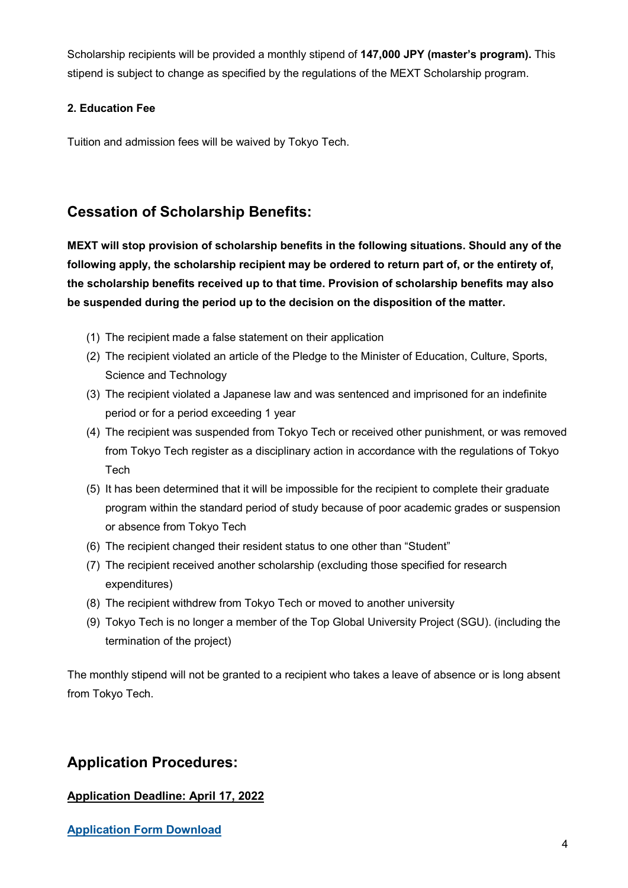Scholarship recipients will be provided a monthly stipend of **147,000 JPY (master's program).** This stipend is subject to change as specified by the regulations of the MEXT Scholarship program.

### **2. Education Fee**

Tuition and admission fees will be waived by Tokyo Tech.

# **Cessation of Scholarship Benefits:**

**MEXT will stop provision of scholarship benefits in the following situations. Should any of the following apply, the scholarship recipient may be ordered to return part of, or the entirety of, the scholarship benefits received up to that time. Provision of scholarship benefits may also be suspended during the period up to the decision on the disposition of the matter.**

- (1) The recipient made a false statement on their application
- (2) The recipient violated an article of the Pledge to the Minister of Education, Culture, Sports, Science and Technology
- (3) The recipient violated a Japanese law and was sentenced and imprisoned for an indefinite period or for a period exceeding 1 year
- (4) The recipient was suspended from Tokyo Tech or received other punishment, or was removed from Tokyo Tech register as a disciplinary action in accordance with the regulations of Tokyo **Tech**
- (5) It has been determined that it will be impossible for the recipient to complete their graduate program within the standard period of study because of poor academic grades or suspension or absence from Tokyo Tech
- (6) The recipient changed their resident status to one other than "Student"
- (7) The recipient received another scholarship (excluding those specified for research expenditures)
- (8) The recipient withdrew from Tokyo Tech or moved to another university
- (9) Tokyo Tech is no longer a member of the Top Global University Project (SGU). (including the termination of the project)

The monthly stipend will not be granted to a recipient who takes a leave of absence or is long absent from Tokyo Tech.

## **Application Procedures:**

### **Application Deadline: April 17, 2022**

**[Application Form](http://www.titech.ac.jp/english/graduate_school/international/scholarships/mext_scholarship.html#SGU_MEXT) Download**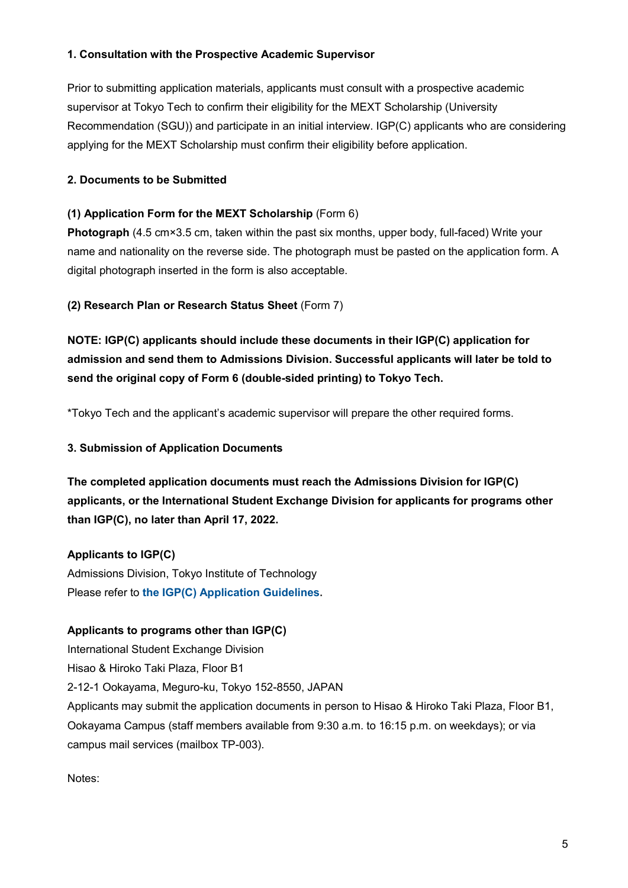#### **1. Consultation with the Prospective Academic Supervisor**

Prior to submitting application materials, applicants must consult with a prospective academic supervisor at Tokyo Tech to confirm their eligibility for the MEXT Scholarship (University Recommendation (SGU)) and participate in an initial interview. IGP(C) applicants who are considering applying for the MEXT Scholarship must confirm their eligibility before application.

#### **2. Documents to be Submitted**

#### **(1) Application Form for the MEXT Scholarship** (Form 6)

**Photograph** (4.5 cm×3.5 cm, taken within the past six months, upper body, full-faced) Write your name and nationality on the reverse side. The photograph must be pasted on the application form. A digital photograph inserted in the form is also acceptable.

**(2) Research Plan or Research Status Sheet** (Form 7)

**NOTE: IGP(C) applicants should include these documents in their IGP(C) application for admission and send them to Admissions Division. Successful applicants will later be told to send the original copy of Form 6 (double-sided printing) to Tokyo Tech.**

\*Tokyo Tech and the applicant's academic supervisor will prepare the other required forms.

#### **3. Submission of Application Documents**

**The completed application documents must reach the Admissions Division for IGP(C) applicants, or the International Student Exchange Division for applicants for programs other than IGP(C), no later than April 17, 2022.**

#### **Applicants to IGP(C)**

Admissions Division, Tokyo Institute of Technology Please refer to **[the IGP\(C\) Application Guidelines.](http://www.titech.ac.jp/english/graduate_school/international/graduate_program_c/overseas.html)**

#### **Applicants to programs other than IGP(C)**

International Student Exchange Division Hisao & Hiroko Taki Plaza, Floor B1 2-12-1 Ookayama, Meguro-ku, Tokyo 152-8550, JAPAN Applicants may submit the application documents in person to Hisao & Hiroko Taki Plaza, Floor B1, Ookayama Campus (staff members available from 9:30 a.m. to 16:15 p.m. on weekdays); or via campus mail services (mailbox TP-003).

Notes: